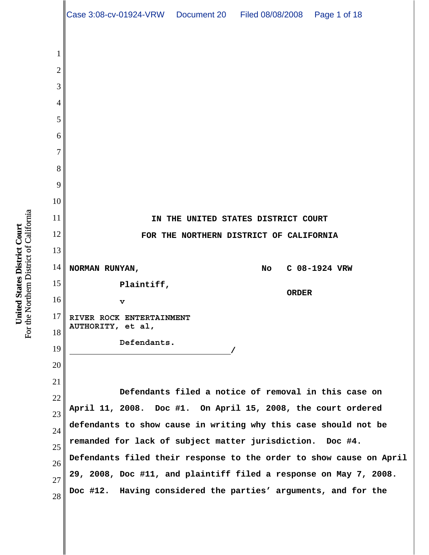1 2 3 4 5 6 7 8 9 10 11 12 13 14 15 16 17 18 19 20 21 22 23 24 25 26 27 28 **IN THE UNITED STATES DISTRICT COURT FOR THE NORTHERN DISTRICT OF CALIFORNIA NORMAN RUNYAN, Plaintiff, v RIVER ROCK ENTERTAINMENT AUTHORITY, et al, Defendants. / No C 08-1924 VRW ORDER Defendants filed a notice of removal in this case on April 11, 2008. Doc #1. On April 15, 2008, the court ordered defendants to show cause in writing why this case should not be remanded for lack of subject matter jurisdiction. Doc #4. Defendants filed their response to the order to show cause on April 29, 2008, Doc #11, and plaintiff filed a response on May 7, 2008. Doc #12. Having considered the parties' arguments, and for the** Case 3:08-cv-01924-VRW Document 20 Filed 08/08/2008 Page 1 of 18

For the Northern District of California For the Northern District of California United States District Court **United States District Court**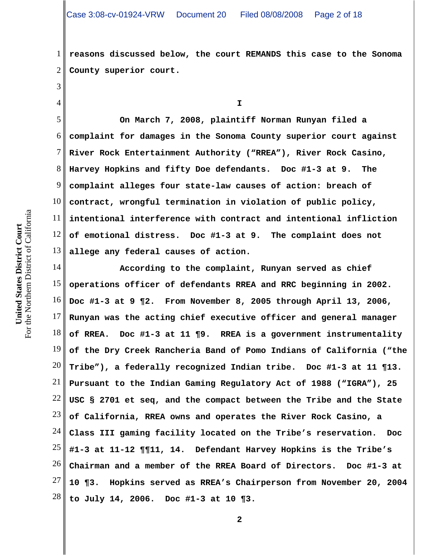1 2 **reasons discussed below, the court REMANDS this case to the Sonoma County superior court.**

**I**

5 6 7 8 9 10 11 12 13 **On March 7, 2008, plaintiff Norman Runyan filed a complaint for damages in the Sonoma County superior court against River Rock Entertainment Authority ("RREA"), River Rock Casino, Harvey Hopkins and fifty Doe defendants. Doc #1-3 at 9. The complaint alleges four state-law causes of action: breach of contract, wrongful termination in violation of public policy, intentional interference with contract and intentional infliction of emotional distress. Doc #1-3 at 9. The complaint does not allege any federal causes of action.**

14 15 16 17 18 19 20 21 22 23 24 25 26 27 28 **According to the complaint, Runyan served as chief operations officer of defendants RREA and RRC beginning in 2002. Doc #1-3 at 9 ¶2. From November 8, 2005 through April 13, 2006, Runyan was the acting chief executive officer and general manager of RREA. Doc #1-3 at 11 ¶9. RREA is a government instrumentality of the Dry Creek Rancheria Band of Pomo Indians of California ("the Tribe"), a federally recognized Indian tribe. Doc #1-3 at 11 ¶13. Pursuant to the Indian Gaming Regulatory Act of 1988 ("IGRA"), 25 USC § 2701 et seq, and the compact between the Tribe and the State of California, RREA owns and operates the River Rock Casino, a Class III gaming facility located on the Tribe's reservation. Doc #1-3 at 11-12 ¶¶11, 14. Defendant Harvey Hopkins is the Tribe's Chairman and a member of the RREA Board of Directors. Doc #1-3 at 10 ¶3. Hopkins served as RREA's Chairperson from November 20, 2004 to July 14, 2006. Doc #1-3 at 10 ¶3.** 

3

4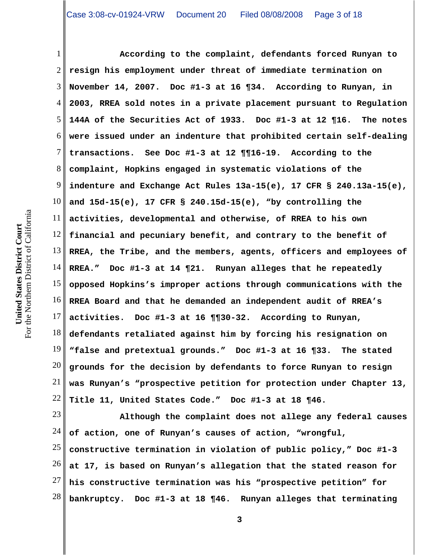1 2 3 4 5 6 7 8 9 10 11 12 13 14 15 16 17 18 19 20 21 22 **According to the complaint, defendants forced Runyan to resign his employment under threat of immediate termination on November 14, 2007. Doc #1-3 at 16 ¶34. According to Runyan, in 2003, RREA sold notes in a private placement pursuant to Regulation 144A of the Securities Act of 1933. Doc #1-3 at 12 ¶16. The notes were issued under an indenture that prohibited certain self-dealing transactions. See Doc #1-3 at 12 ¶¶16-19. According to the complaint, Hopkins engaged in systematic violations of the indenture and Exchange Act Rules 13a-15(e), 17 CFR § 240.13a-15(e), and 15d-15(e), 17 CFR § 240.15d-15(e), "by controlling the activities, developmental and otherwise, of RREA to his own financial and pecuniary benefit, and contrary to the benefit of RREA, the Tribe, and the members, agents, officers and employees of RREA." Doc #1-3 at 14 ¶21. Runyan alleges that he repeatedly opposed Hopkins's improper actions through communications with the RREA Board and that he demanded an independent audit of RREA's activities. Doc #1-3 at 16 ¶¶30-32. According to Runyan, defendants retaliated against him by forcing his resignation on "false and pretextual grounds." Doc #1-3 at 16 ¶33. The stated grounds for the decision by defendants to force Runyan to resign was Runyan's "prospective petition for protection under Chapter 13, Title 11, United States Code." Doc #1-3 at 18 ¶46.**

23 24 25 26 27 28 **Although the complaint does not allege any federal causes of action, one of Runyan's causes of action, "wrongful, constructive termination in violation of public policy," Doc #1-3 at 17, is based on Runyan's allegation that the stated reason for his constructive termination was his "prospective petition" for bankruptcy. Doc #1-3 at 18 ¶46. Runyan alleges that terminating**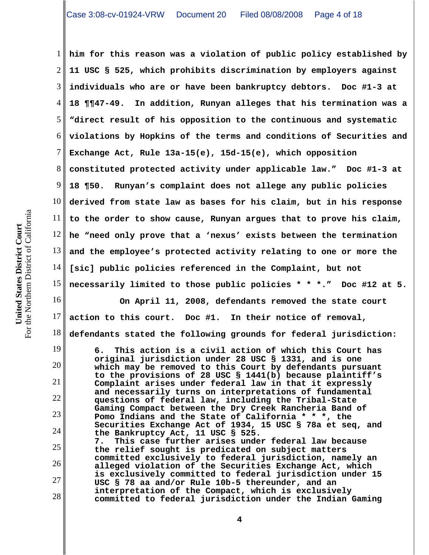1 2 3 4 5 6 7 8 9 10 11 12 13 14 15 **him for this reason was a violation of public policy established by 11 USC § 525, which prohibits discrimination by employers against individuals who are or have been bankruptcy debtors. Doc #1-3 at 18 ¶¶47-49. In addition, Runyan alleges that his termination was a "direct result of his opposition to the continuous and systematic violations by Hopkins of the terms and conditions of Securities and Exchange Act, Rule 13a-15(e), 15d-15(e), which opposition constituted protected activity under applicable law." Doc #1-3 at 18 ¶50. Runyan's complaint does not allege any public policies derived from state law as bases for his claim, but in his response to the order to show cause, Runyan argues that to prove his claim, he "need only prove that a 'nexus' exists between the termination and the employee's protected activity relating to one or more the [sic] public policies referenced in the Complaint, but not necessarily limited to those public policies \* \* \*." Doc #12 at 5.**

**On April 11, 2008, defendants removed the state court**

For the Northern District of California For the Northern District of California United States District Court **United States District Court**

16

17

18

**4**

19 20 21 22 23 24 25 26 27 28 **defendants stated the following grounds for federal jurisdiction: 6. This action is a civil action of which this Court has original jurisdiction under 28 USC § 1331, and is one which may be removed to this Court by defendants pursuant to the provisions of 28 USC § 1441(b) because plaintiff's Complaint arises under federal law in that it expressly and necessarily turns on interpretations of fundamental questions of federal law, including the Tribal-State Gaming Compact between the Dry Creek Rancheria Band of Pomo Indians and the State of California \* \* \*, the Securities Exchange Act of 1934, 15 USC § 78a et seq, and the Bankruptcy Act, 11 USC § 525. 7. This case further arises under federal law because the relief sought is predicated on subject matters committed exclusively to federal jurisdiction, namely an alleged violation of the Securities Exchange Act, which is exclusively committed to federal jurisdiction under 15 USC § 78 aa and/or Rule 10b-5 thereunder, and an interpretation of the Compact, which is exclusively committed to federal jurisdiction under the Indian Gaming**

**action to this court. Doc #1. In their notice of removal,**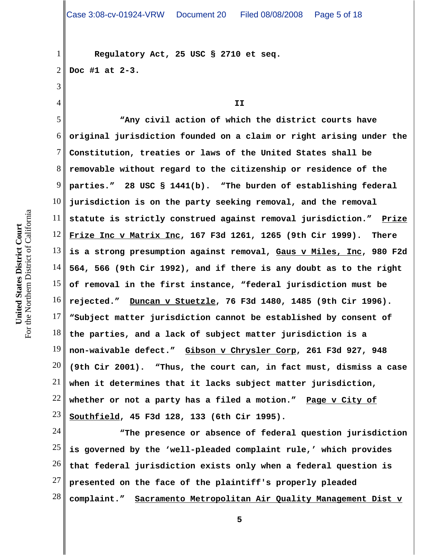**Regulatory Act, 25 USC § 2710 et seq. Doc #1 at 2-3.**

For the Northern District of California For the Northern District of California United States District Court **United States District Court**

1

2

3

4

**II**

5 6 7 8 9 10 11 12 13 14 15 16 17 18 19 20 21 22 23 **"Any civil action of which the district courts have original jurisdiction founded on a claim or right arising under the Constitution, treaties or laws of the United States shall be removable without regard to the citizenship or residence of the parties." 28 USC § 1441(b). "The burden of establishing federal jurisdiction is on the party seeking removal, and the removal statute is strictly construed against removal jurisdiction." Prize Frize Inc v Matrix Inc, 167 F3d 1261, 1265 (9th Cir 1999). There is a strong presumption against removal, Gaus v Miles, Inc, 980 F2d 564, 566 (9th Cir 1992), and if there is any doubt as to the right of removal in the first instance, "federal jurisdiction must be rejected." Duncan v Stuetzle, 76 F3d 1480, 1485 (9th Cir 1996). "Subject matter jurisdiction cannot be established by consent of the parties, and a lack of subject matter jurisdiction is a non-waivable defect." Gibson v Chrysler Corp, 261 F3d 927, 948 (9th Cir 2001). "Thus, the court can, in fact must, dismiss a case when it determines that it lacks subject matter jurisdiction, whether or not a party has a filed a motion." Page v City of Southfield, 45 F3d 128, 133 (6th Cir 1995).**

24 25 26 27 28 **"The presence or absence of federal question jurisdiction is governed by the 'well-pleaded complaint rule,' which provides that federal jurisdiction exists only when a federal question is presented on the face of the plaintiff's properly pleaded complaint." Sacramento Metropolitan Air Quality Management Dist v**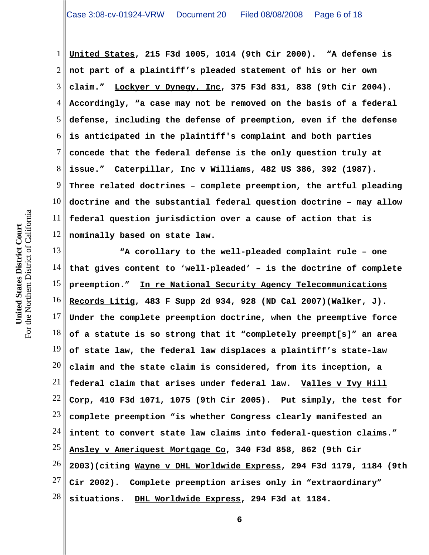1 2 3 4 5 6 7 8 9 10 11 12 **United States, 215 F3d 1005, 1014 (9th Cir 2000). "A defense is not part of a plaintiff's pleaded statement of his or her own claim." Lockyer v Dynegy, Inc, 375 F3d 831, 838 (9th Cir 2004). Accordingly, "a case may not be removed on the basis of a federal defense, including the defense of preemption, even if the defense is anticipated in the plaintiff's complaint and both parties concede that the federal defense is the only question truly at issue." Caterpillar, Inc v Williams, 482 US 386, 392 (1987). Three related doctrines – complete preemption, the artful pleading doctrine and the substantial federal question doctrine – may allow federal question jurisdiction over a cause of action that is nominally based on state law.**

13 14 15 16 17 18 19 20 21 22 23 24 25 26 27 28 **"A corollary to the well-pleaded complaint rule – one that gives content to 'well-pleaded' – is the doctrine of complete preemption." In re National Security Agency Telecommunications Records Litig, 483 F Supp 2d 934, 928 (ND Cal 2007)(Walker, J). Under the complete preemption doctrine, when the preemptive force of a statute is so strong that it "completely preempt[s]" an area of state law, the federal law displaces a plaintiff's state-law claim and the state claim is considered, from its inception, a federal claim that arises under federal law. Valles v Ivy Hill Corp, 410 F3d 1071, 1075 (9th Cir 2005). Put simply, the test for complete preemption "is whether Congress clearly manifested an intent to convert state law claims into federal-question claims." Ansley v Ameriquest Mortgage Co, 340 F3d 858, 862 (9th Cir 2003)(citing Wayne v DHL Worldwide Express, 294 F3d 1179, 1184 (9th Cir 2002). Complete preemption arises only in "extraordinary" situations. DHL Worldwide Express, 294 F3d at 1184.**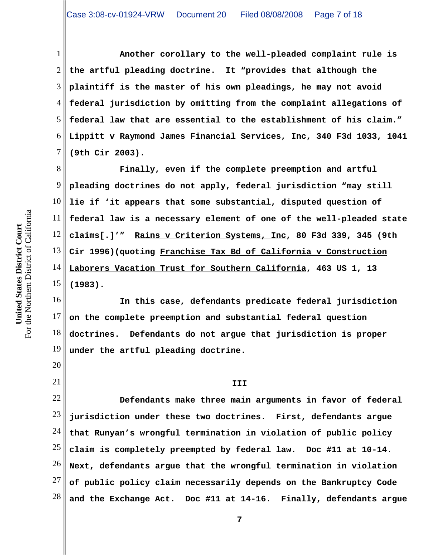1 2 3 4 5 6 7 **Another corollary to the well-pleaded complaint rule is the artful pleading doctrine. It "provides that although the plaintiff is the master of his own pleadings, he may not avoid federal jurisdiction by omitting from the complaint allegations of federal law that are essential to the establishment of his claim." Lippitt v Raymond James Financial Services, Inc, 340 F3d 1033, 1041 (9th Cir 2003).**

8 9 10 11 12 13 14 15 **Finally, even if the complete preemption and artful pleading doctrines do not apply, federal jurisdiction "may still lie if 'it appears that some substantial, disputed question of federal law is a necessary element of one of the well-pleaded state claims[.]'" Rains v Criterion Systems, Inc, 80 F3d 339, 345 (9th Cir 1996)(quoting Franchise Tax Bd of California v Construction Laborers Vacation Trust for Southern California, 463 US 1, 13 (1983).**

16 17 18 19 **In this case, defendants predicate federal jurisdiction on the complete preemption and substantial federal question doctrines. Defendants do not argue that jurisdiction is proper under the artful pleading doctrine.**

**III**

22 23 24 25 26 27 28 **Defendants make three main arguments in favor of federal jurisdiction under these two doctrines. First, defendants argue that Runyan's wrongful termination in violation of public policy claim is completely preempted by federal law. Doc #11 at 10-14. Next, defendants argue that the wrongful termination in violation of public policy claim necessarily depends on the Bankruptcy Code and the Exchange Act. Doc #11 at 14-16. Finally, defendants argue**

20

21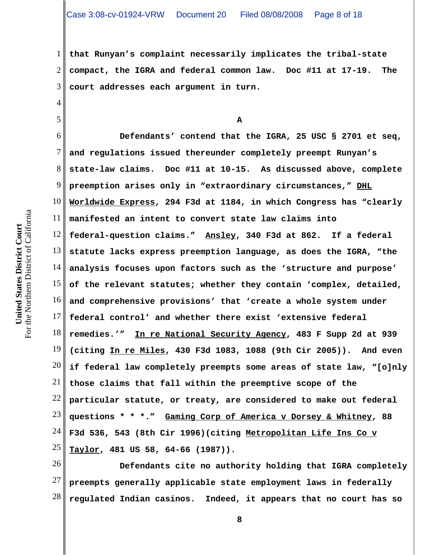1 2 3 **that Runyan's complaint necessarily implicates the tribal-state compact, the IGRA and federal common law. Doc #11 at 17-19. The court addresses each argument in turn.**

For the Northern District of California For the Northern District of California United States District Court **United States District Court**

4

5

**A**

6 7 8 9 10 11 12 13 14 15 16 17 18 19 20 21 22 23 24 25 **Defendants' contend that the IGRA, 25 USC § 2701 et seq, and regulations issued thereunder completely preempt Runyan's state-law claims. Doc #11 at 10-15. As discussed above, complete preemption arises only in "extraordinary circumstances," DHL Worldwide Express, 294 F3d at 1184, in which Congress has "clearly manifested an intent to convert state law claims into federal-question claims." Ansley, 340 F3d at 862. If a federal statute lacks express preemption language, as does the IGRA, "the analysis focuses upon factors such as the 'structure and purpose' of the relevant statutes; whether they contain 'complex, detailed, and comprehensive provisions' that 'create a whole system under federal control' and whether there exist 'extensive federal remedies.'" In re National Security Agency, 483 F Supp 2d at 939 (citing In re Miles, 430 F3d 1083, 1088 (9th Cir 2005)). And even if federal law completely preempts some areas of state law, "[o]nly those claims that fall within the preemptive scope of the particular statute, or treaty, are considered to make out federal questions \* \* \*." Gaming Corp of America v Dorsey & Whitney, 88 F3d 536, 543 (8th Cir 1996)(citing Metropolitan Life Ins Co v Taylor, 481 US 58, 64-66 (1987)).**

26 27 28 **Defendants cite no authority holding that IGRA completely preempts generally applicable state employment laws in federally regulated Indian casinos. Indeed, it appears that no court has so**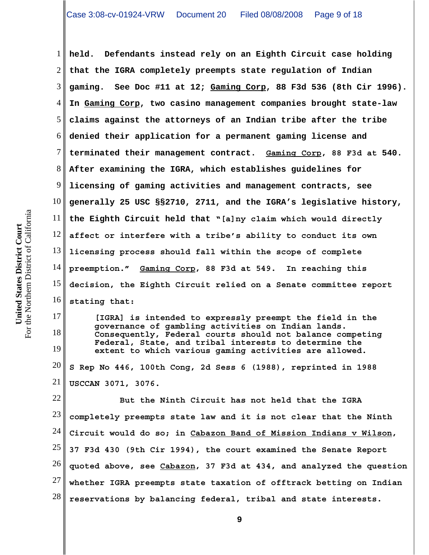1 2 3 4 5 6 7 8 9 10 11 12 13 14 15 16 **held. Defendants instead rely on an Eighth Circuit case holding that the IGRA completely preempts state regulation of Indian gaming. See Doc #11 at 12; Gaming Corp, 88 F3d 536 (8th Cir 1996). In Gaming Corp, two casino management companies brought state-law claims against the attorneys of an Indian tribe after the tribe denied their application for a permanent gaming license and terminated their management contract. Gaming Corp, 88 F3d at 540. After examining the IGRA, which establishes guidelines for licensing of gaming activities and management contracts, see generally 25 USC §§2710, 2711, and the IGRA's legislative history, the Eighth Circuit held that "[a]ny claim which would directly affect or interfere with a tribe's ability to conduct its own licensing process should fall within the scope of complete preemption." Gaming Corp, 88 F3d at 549. In reaching this decision, the Eighth Circuit relied on a Senate committee report stating that:**

**[IGRA] is intended to expressly preempt the field in the governance of gambling activities on Indian lands. Consequently, Federal courts should not balance competing Federal, State, and tribal interests to determine the extent to which various gaming activities are allowed.**

20 21 **S Rep No 446, 100th Cong, 2d Sess 6 (1988), reprinted in 1988 USCCAN 3071, 3076.**

22 23 24 25 26 27 28 **But the Ninth Circuit has not held that the IGRA completely preempts state law and it is not clear that the Ninth Circuit would do so; in Cabazon Band of Mission Indians v Wilson, 37 F3d 430 (9th Cir 1994), the court examined the Senate Report quoted above, see Cabazon, 37 F3d at 434, and analyzed the question whether IGRA preempts state taxation of offtrack betting on Indian reservations by balancing federal, tribal and state interests.** 

17

18

19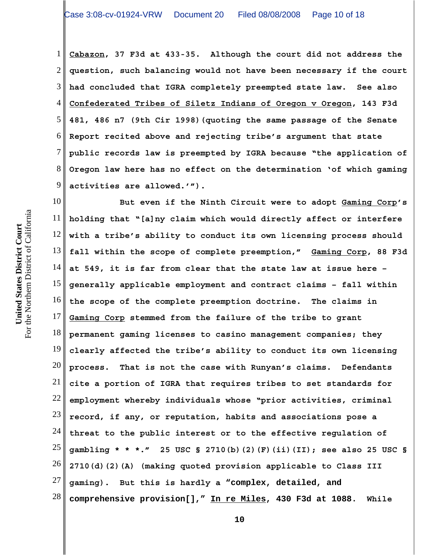1 2 3 4 5 6 7 8 9 **Cabazon, 37 F3d at 433-35. Although the court did not address the question, such balancing would not have been necessary if the court had concluded that IGRA completely preempted state law. See also Confederated Tribes of Siletz Indians of Oregon v Oregon, 143 F3d 481, 486 n7 (9th Cir 1998)(quoting the same passage of the Senate Report recited above and rejecting tribe's argument that state public records law is preempted by IGRA because "the application of Oregon law here has no effect on the determination 'of which gaming activities are allowed.'").**

10 11 12 13 14 15 16 17 18 19 20 21 22 23 24 25 26 27 28 **But even if the Ninth Circuit were to adopt Gaming Corp's holding that "[a]ny claim which would directly affect or interfere with a tribe's ability to conduct its own licensing process should fall within the scope of complete preemption," Gaming Corp, 88 F3d at 549, it is far from clear that the state law at issue here – generally applicable employment and contract claims – fall within the scope of the complete preemption doctrine. The claims in Gaming Corp stemmed from the failure of the tribe to grant permanent gaming licenses to casino management companies; they clearly affected the tribe's ability to conduct its own licensing process. That is not the case with Runyan's claims. Defendants cite a portion of IGRA that requires tribes to set standards for employment whereby individuals whose "prior activities, criminal record, if any, or reputation, habits and associations pose a threat to the public interest or to the effective regulation of gambling \* \* \*." 25 USC § 2710(b)(2)(F)(ii)(II); see also 25 USC § 2710(d)(2)(A) (making quoted provision applicable to Class III gaming). But this is hardly a "complex, detailed, and comprehensive provision[]," In re Miles, 430 F3d at 1088. While**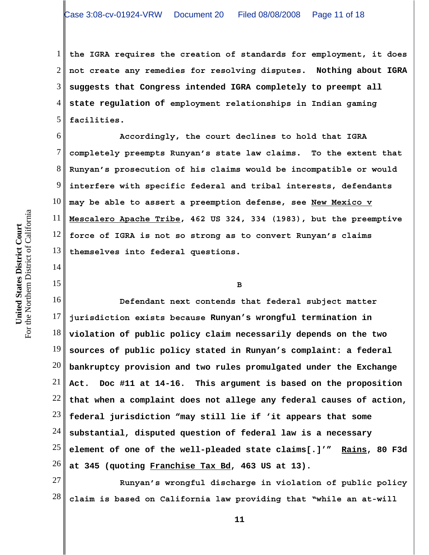1 2 3 4 5 **the IGRA requires the creation of standards for employment, it does not create any remedies for resolving disputes. Nothing about IGRA suggests that Congress intended IGRA completely to preempt all state regulation of employment relationships in Indian gaming facilities.** 

6 7 8 9 10 11 12 13 **Accordingly, the court declines to hold that IGRA completely preempts Runyan's state law claims. To the extent that Runyan's prosecution of his claims would be incompatible or would interfere with specific federal and tribal interests, defendants may be able to assert a preemption defense, see New Mexico v Mescalero Apache Tribe, 462 US 324, 334 (1983), but the preemptive force of IGRA is not so strong as to convert Runyan's claims themselves into federal questions.** 

**B**

16 17 18 19 20 21 22 23 24 25 26 **Defendant next contends that federal subject matter jurisdiction exists because Runyan's wrongful termination in violation of public policy claim necessarily depends on the two sources of public policy stated in Runyan's complaint: a federal bankruptcy provision and two rules promulgated under the Exchange Act. Doc #11 at 14-16. This argument is based on the proposition that when a complaint does not allege any federal causes of action, federal jurisdiction "may still lie if 'it appears that some substantial, disputed question of federal law is a necessary element of one of the well-pleaded state claims[.]'" Rains, 80 F3d at 345 (quoting Franchise Tax Bd, 463 US at 13).** 

27 28 **Runyan's wrongful discharge in violation of public policy claim is based on California law providing that "while an at-will**

14

15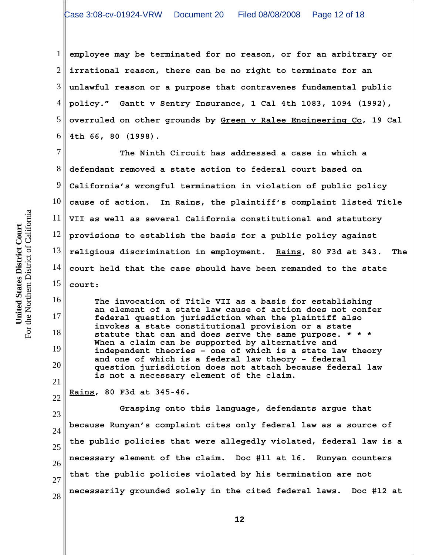1 2 3 4 5 6 **employee may be terminated for no reason, or for an arbitrary or irrational reason, there can be no right to terminate for an unlawful reason or a purpose that contravenes fundamental public policy." Gantt v Sentry Insurance, 1 Cal 4th 1083, 1094 (1992), overruled on other grounds by Green v Ralee Engineering Co, 19 Cal 4th 66, 80 (1998).**

7 8 9 10 11 12 13 14 15 **The Ninth Circuit has addressed a case in which a defendant removed a state action to federal court based on California's wrongful termination in violation of public policy cause of action. In Rains, the plaintiff's complaint listed Title VII as well as several California constitutional and statutory provisions to establish the basis for a public policy against religious discrimination in employment. Rains, 80 F3d at 343. The court held that the case should have been remanded to the state court:** 

**The invocation of Title VII as a basis for establishing an element of a state law cause of action does not confer federal question jurisdiction when the plaintiff also invokes a state constitutional provision or a state statute that can and does serve the same purpose. \* \* \* When a claim can be supported by alternative and independent theories – one of which is a state law theory and one of which is a federal law theory – federal question jurisdiction does not attach because federal law is not a necessary element of the claim.**

22 **Rains, 80 F3d at 345-46.**

23 24 25 26 27 28 **Grasping onto this language, defendants argue that because Runyan's complaint cites only federal law as a source of the public policies that were allegedly violated, federal law is a necessary element of the claim. Doc #11 at 16. Runyan counters that the public policies violated by his termination are not necessarily grounded solely in the cited federal laws. Doc #12 at**

16

17

18

19

20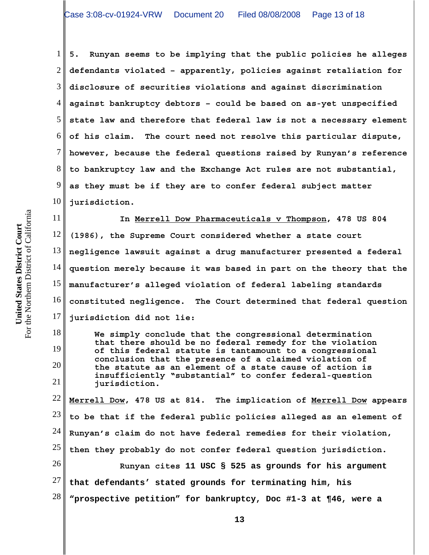1 2 3 4 5 6 7 8 9 10 **5. Runyan seems to be implying that the public policies he alleges defendants violated – apparently, policies against retaliation for disclosure of securities violations and against discrimination against bankruptcy debtors – could be based on as-yet unspecified state law and therefore that federal law is not a necessary element of his claim. The court need not resolve this particular dispute, however, because the federal questions raised by Runyan's reference to bankruptcy law and the Exchange Act rules are not substantial, as they must be if they are to confer federal subject matter jurisdiction.**

11 12 13 14 15 16 17 **In Merrell Dow Pharmaceuticals v Thompson, 478 US 804 (1986), the Supreme Court considered whether a state court negligence lawsuit against a drug manufacturer presented a federal question merely because it was based in part on the theory that the manufacturer's alleged violation of federal labeling standards constituted negligence. The Court determined that federal question jurisdiction did not lie:**

20 **We simply conclude that the congressional determination that there should be no federal remedy for the violation of this federal statute is tantamount to a congressional conclusion that the presence of a claimed violation of the statute as an element of a state cause of action is insufficiently "substantial" to confer federal-question jurisdiction.**

22 23 24 25 26 27 28 **Merrell Dow, 478 US at 814. The implication of Merrell Dow appears to be that if the federal public policies alleged as an element of Runyan's claim do not have federal remedies for their violation, then they probably do not confer federal question jurisdiction. Runyan cites 11 USC § 525 as grounds for his argument that defendants' stated grounds for terminating him, his "prospective petition" for bankruptcy, Doc #1-3 at ¶46, were a**

18

19

21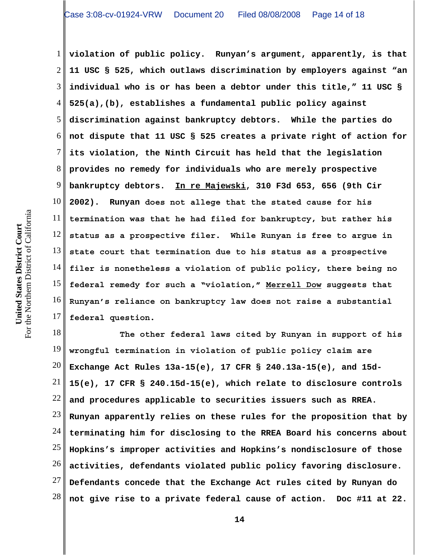1 2 3 4 5 6 7 8 9 10 11 12 13 14 15 16 17 **violation of public policy. Runyan's argument, apparently, is that 11 USC § 525, which outlaws discrimination by employers against "an individual who is or has been a debtor under this title," 11 USC § 525(a),(b), establishes a fundamental public policy against discrimination against bankruptcy debtors. While the parties do not dispute that 11 USC § 525 creates a private right of action for its violation, the Ninth Circuit has held that the legislation provides no remedy for individuals who are merely prospective bankruptcy debtors. In re Majewski, 310 F3d 653, 656 (9th Cir 2002). Runyan does not allege that the stated cause for his termination was that he had filed for bankruptcy, but rather his status as a prospective filer. While Runyan is free to argue in state court that termination due to his status as a prospective filer is nonetheless a violation of public policy, there being no federal remedy for such a "violation," Merrell Dow suggests that Runyan's reliance on bankruptcy law does not raise a substantial federal question.**

18 19 20 21 22 23 24 25 26 27 28 **The other federal laws cited by Runyan in support of his wrongful termination in violation of public policy claim are Exchange Act Rules 13a-15(e), 17 CFR § 240.13a-15(e), and 15d-15(e), 17 CFR § 240.15d-15(e), which relate to disclosure controls and procedures applicable to securities issuers such as RREA. Runyan apparently relies on these rules for the proposition that by terminating him for disclosing to the RREA Board his concerns about Hopkins's improper activities and Hopkins's nondisclosure of those activities, defendants violated public policy favoring disclosure. Defendants concede that the Exchange Act rules cited by Runyan do not give rise to a private federal cause of action. Doc #11 at 22.**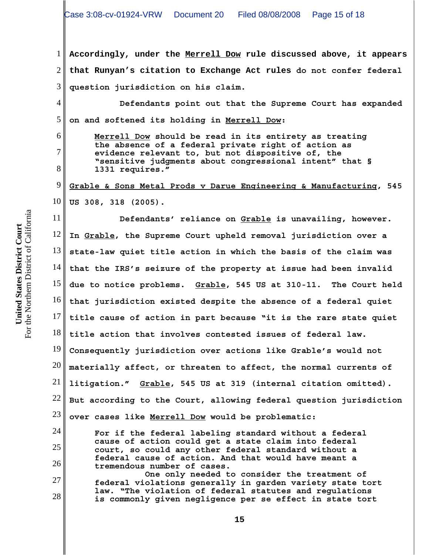1 2 3 **Accordingly, under the Merrell Dow rule discussed above, it appears that Runyan's citation to Exchange Act rules do not confer federal question jurisdiction on his claim.**

4 5 **Defendants point out that the Supreme Court has expanded on and softened its holding in Merrell Dow:**

**Merrell Dow should be read in its entirety as treating the absence of a federal private right of action as evidence relevant to, but not dispositive of, the "sensitive judgments about congressional intent" that § 1331 requires."**

9 10 **Grable & Sons Metal Prods v Darue Engineering & Manufacturing, 545 US 308, 318 (2005).**

11 12 13 14 15 16 17 18 19 20 21 22 23 24 25 **Defendants' reliance on Grable is unavailing, however. In Grable, the Supreme Court upheld removal jurisdiction over a state-law quiet title action in which the basis of the claim was that the IRS's seizure of the property at issue had been invalid due to notice problems. Grable, 545 US at 310-11. The Court held that jurisdiction existed despite the absence of a federal quiet title cause of action in part because "it is the rare state quiet title action that involves contested issues of federal law. Consequently jurisdiction over actions like Grable's would not materially affect, or threaten to affect, the normal currents of litigation." Grable, 545 US at 319 (internal citation omitted). But according to the Court, allowing federal question jurisdiction over cases like Merrell Dow would be problematic: For if the federal labeling standard without a federal cause of action could get a state claim into federal court, so could any other federal standard without a**

**federal cause of action. And that would have meant a tremendous number of cases. One only needed to consider the treatment of**

**federal violations generally in garden variety state tort law. "The violation of federal statutes and regulations is commonly given negligence per se effect in state tort**

For the Northern District of California For the Northern District of California United States District Court **United States District Court**

6

7

8

26

27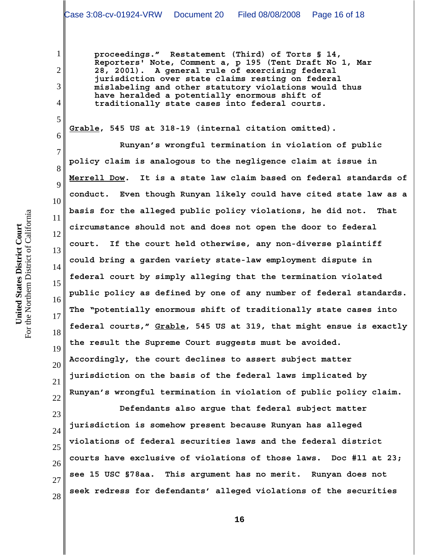**proceedings." Restatement (Third) of Torts § 14, Reporters' Note, Comment a, p 195 (Tent Draft No 1, Mar 28, 2001). A general rule of exercising federal jurisdiction over state claims resting on federal mislabeling and other statutory violations would thus have heralded a potentially enormous shift of traditionally state cases into federal courts.**

**Grable, 545 US at 318-19 (internal citation omitted).**

10 12 **Runyan's wrongful termination in violation of public policy claim is analogous to the negligence claim at issue in Merrell Dow. It is a state law claim based on federal standards of conduct. Even though Runyan likely could have cited state law as a basis for the alleged public policy violations, he did not. That circumstance should not and does not open the door to federal court. If the court held otherwise, any non-diverse plaintiff could bring a garden variety state-law employment dispute in federal court by simply alleging that the termination violated public policy as defined by one of any number of federal standards. The "potentially enormous shift of traditionally state cases into federal courts," Grable, 545 US at 319, that might ensue is exactly the result the Supreme Court suggests must be avoided. Accordingly, the court declines to assert subject matter jurisdiction on the basis of the federal laws implicated by Runyan's wrongful termination in violation of public policy claim.**

23 24 25 26 27 28 **Defendants also argue that federal subject matter jurisdiction is somehow present because Runyan has alleged violations of federal securities laws and the federal district courts have exclusive of violations of those laws. Doc #11 at 23; see 15 USC §78aa. This argument has no merit. Runyan does not seek redress for defendants' alleged violations of the securities**

For the Northern District of California For the Northern District of California United States District Court **United States District Court**

1

2

3

4

5

6

7

8

9

11

13

14

15

16

17

18

19

20

21

22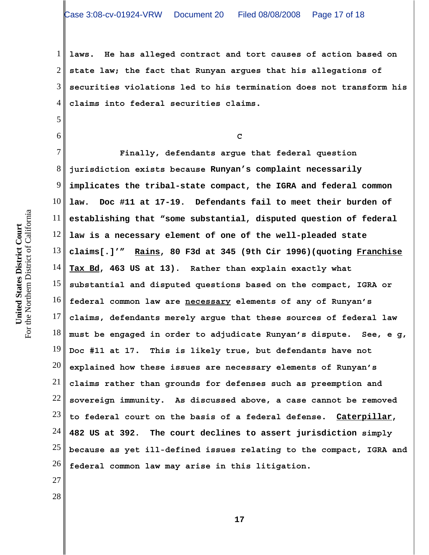1 2 3 4 **laws. He has alleged contract and tort causes of action based on state law; the fact that Runyan argues that his allegations of securities violations led to his termination does not transform his claims into federal securities claims.**

**C**

7 8 9 10 11 12 13 14 15 16 17 18 19 20 21 22 23 24 25 26 **Finally, defendants argue that federal question jurisdiction exists because Runyan's complaint necessarily implicates the tribal-state compact, the IGRA and federal common law. Doc #11 at 17-19. Defendants fail to meet their burden of establishing that "some substantial, disputed question of federal law is a necessary element of one of the well-pleaded state claims[.]'" Rains, 80 F3d at 345 (9th Cir 1996)(quoting Franchise Tax Bd, 463 US at 13). Rather than explain exactly what substantial and disputed questions based on the compact, IGRA or federal common law are necessary elements of any of Runyan's claims, defendants merely argue that these sources of federal law must be engaged in order to adjudicate Runyan's dispute. See, e g, Doc #11 at 17. This is likely true, but defendants have not explained how these issues are necessary elements of Runyan's claims rather than grounds for defenses such as preemption and sovereign immunity. As discussed above, a case cannot be removed to federal court on the basis of a federal defense. Caterpillar, 482 US at 392. The court declines to assert jurisdiction simply because as yet ill-defined issues relating to the compact, IGRA and federal common law may arise in this litigation.**

For the Northern District of California For the Northern District of California United States District Court **United States District Court**

5

6

27

28